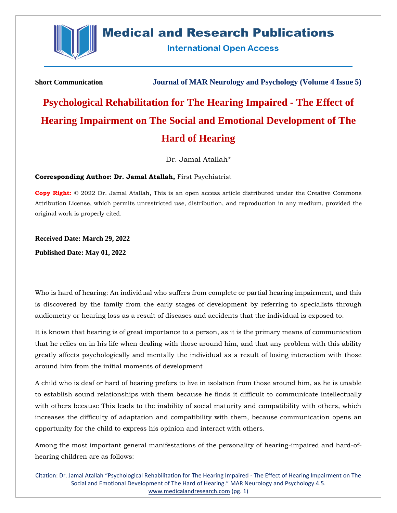

# **Medical and Research Publications**

**International Open Access** 

**Short Communication Journal of MAR Neurology and Psychology (Volume 4 Issue 5)**

# **Psychological Rehabilitation for The Hearing Impaired - The Effect of Hearing Impairment on The Social and Emotional Development of The Hard of Hearing**

Dr. Jamal Atallah\*

#### **Corresponding Author: Dr. Jamal Atallah,** First Psychiatrist

**Copy Right:** © 2022 Dr. Jamal Atallah, This is an open access article distributed under the Creative Commons Attribution License, which permits unrestricted use, distribution, and reproduction in any medium, provided the original work is properly cited.

**Received Date: March 29, 2022**

**Published Date: May 01, 2022**

Who is hard of hearing: An individual who suffers from complete or partial hearing impairment, and this is discovered by the family from the early stages of development by referring to specialists through audiometry or hearing loss as a result of diseases and accidents that the individual is exposed to.

It is known that hearing is of great importance to a person, as it is the primary means of communication that he relies on in his life when dealing with those around him, and that any problem with this ability greatly affects psychologically and mentally the individual as a result of losing interaction with those around him from the initial moments of development

A child who is deaf or hard of hearing prefers to live in isolation from those around him, as he is unable to establish sound relationships with them because he finds it difficult to communicate intellectually with others because This leads to the inability of social maturity and compatibility with others, which increases the difficulty of adaptation and compatibility with them, because communication opens an opportunity for the child to express his opinion and interact with others.

Among the most important general manifestations of the personality of hearing-impaired and hard-ofhearing children are as follows:

Citation: Dr. Jamal Atallah "Psychological Rehabilitation for The Hearing Impaired - The Effect of Hearing Impairment on The Social and Emotional Development of The Hard of Hearing." MAR Neurology and Psychology.4.5. [www.medicalandresearch.com](http://www.medicalandresearch.com/) (pg. 1)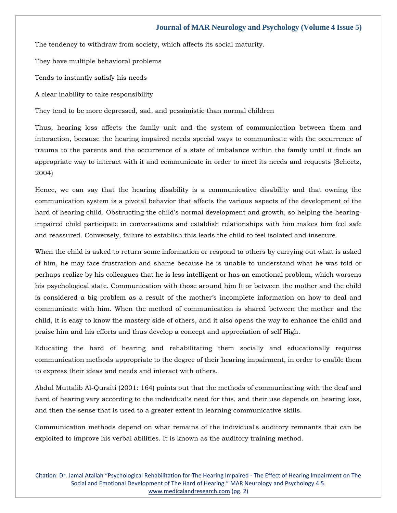#### **Journal of MAR Neurology and Psychology (Volume 4 Issue 5)**

The tendency to withdraw from society, which affects its social maturity.

They have multiple behavioral problems

Tends to instantly satisfy his needs

A clear inability to take responsibility

They tend to be more depressed, sad, and pessimistic than normal children

Thus, hearing loss affects the family unit and the system of communication between them and interaction, because the hearing impaired needs special ways to communicate with the occurrence of trauma to the parents and the occurrence of a state of imbalance within the family until it finds an appropriate way to interact with it and communicate in order to meet its needs and requests (Scheetz, 2004)

Hence, we can say that the hearing disability is a communicative disability and that owning the communication system is a pivotal behavior that affects the various aspects of the development of the hard of hearing child. Obstructing the child's normal development and growth, so helping the hearingimpaired child participate in conversations and establish relationships with him makes him feel safe and reassured. Conversely, failure to establish this leads the child to feel isolated and insecure.

When the child is asked to return some information or respond to others by carrying out what is asked of him, he may face frustration and shame because he is unable to understand what he was told or perhaps realize by his colleagues that he is less intelligent or has an emotional problem, which worsens his psychological state. Communication with those around him It or between the mother and the child is considered a big problem as a result of the mother's incomplete information on how to deal and communicate with him. When the method of communication is shared between the mother and the child, it is easy to know the mastery side of others, and it also opens the way to enhance the child and praise him and his efforts and thus develop a concept and appreciation of self High.

Educating the hard of hearing and rehabilitating them socially and educationally requires communication methods appropriate to the degree of their hearing impairment, in order to enable them to express their ideas and needs and interact with others.

Abdul Muttalib Al-Quraiti (2001: 164) points out that the methods of communicating with the deaf and hard of hearing vary according to the individual's need for this, and their use depends on hearing loss, and then the sense that is used to a greater extent in learning communicative skills.

Communication methods depend on what remains of the individual's auditory remnants that can be exploited to improve his verbal abilities. It is known as the auditory training method.

Citation: Dr. Jamal Atallah "Psychological Rehabilitation for The Hearing Impaired - The Effect of Hearing Impairment on The Social and Emotional Development of The Hard of Hearing." MAR Neurology and Psychology.4.5. [www.medicalandresearch.com](http://www.medicalandresearch.com/) (pg. 2)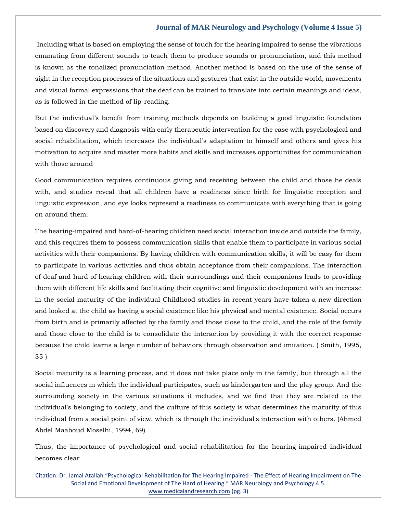## **Journal of MAR Neurology and Psychology (Volume 4 Issue 5)**

Including what is based on employing the sense of touch for the hearing impaired to sense the vibrations emanating from different sounds to teach them to produce sounds or pronunciation, and this method is known as the tonalized pronunciation method. Another method is based on the use of the sense of sight in the reception processes of the situations and gestures that exist in the outside world, movements and visual formal expressions that the deaf can be trained to translate into certain meanings and ideas, as is followed in the method of lip-reading.

But the individual's benefit from training methods depends on building a good linguistic foundation based on discovery and diagnosis with early therapeutic intervention for the case with psychological and social rehabilitation, which increases the individual's adaptation to himself and others and gives his motivation to acquire and master more habits and skills and increases opportunities for communication with those around

Good communication requires continuous giving and receiving between the child and those he deals with, and studies reveal that all children have a readiness since birth for linguistic reception and linguistic expression, and eye looks represent a readiness to communicate with everything that is going on around them.

The hearing-impaired and hard-of-hearing children need social interaction inside and outside the family, and this requires them to possess communication skills that enable them to participate in various social activities with their companions. By having children with communication skills, it will be easy for them to participate in various activities and thus obtain acceptance from their companions. The interaction of deaf and hard of hearing children with their surroundings and their companions leads to providing them with different life skills and facilitating their cognitive and linguistic development with an increase in the social maturity of the individual Childhood studies in recent years have taken a new direction and looked at the child as having a social existence like his physical and mental existence. Social occurs from birth and is primarily affected by the family and those close to the child, and the role of the family and those close to the child is to consolidate the interaction by providing it with the correct response because the child learns a large number of behaviors through observation and imitation. ( Smith, 1995, 35 )

Social maturity is a learning process, and it does not take place only in the family, but through all the social influences in which the individual participates, such as kindergarten and the play group. And the surrounding society in the various situations it includes, and we find that they are related to the individual's belonging to society, and the culture of this society is what determines the maturity of this individual from a social point of view, which is through the individual's interaction with others. (Ahmed Abdel Maaboud Moselhi, 1994, 69)

Thus, the importance of psychological and social rehabilitation for the hearing-impaired individual becomes clear

Citation: Dr. Jamal Atallah "Psychological Rehabilitation for The Hearing Impaired - The Effect of Hearing Impairment on The Social and Emotional Development of The Hard of Hearing." MAR Neurology and Psychology.4.5. [www.medicalandresearch.com](http://www.medicalandresearch.com/) (pg. 3)